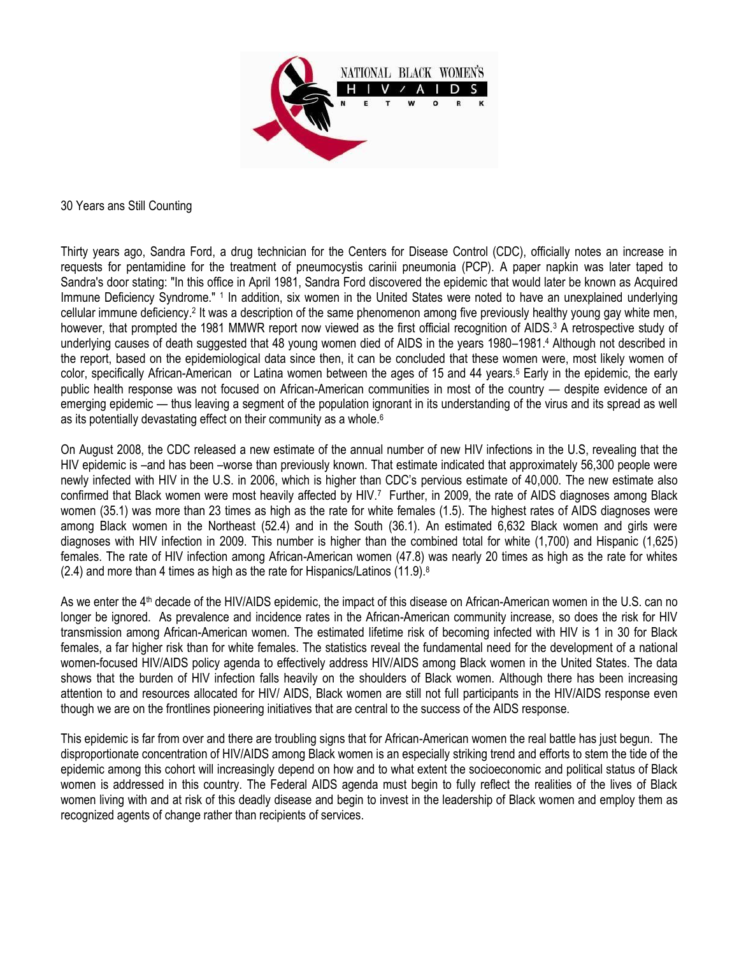

30 Years ans Still Counting

Thirty years ago, Sandra Ford, a drug technician for the Centers for Disease Control (CDC), officially notes an increase in requests for pentamidine for the treatment of pneumocystis carinii pneumonia (PCP). A paper napkin was later taped to Sandra's door stating: "In this office in April 1981, Sandra Ford discovered the epidemic that would later be known as Acquired Immune Deficiency Syndrome." <sup>1</sup> In addition, six women in the United States were noted to have an unexplained underlying cellular immune deficiency.<sup>2</sup> It was a description of the same phenomenon among five previously healthy young gay white men, however, that prompted the 1981 MMWR report now viewed as the first official recognition of AIDS.<sup>3</sup> A retrospective study of underlying causes of death suggested that 48 young women died of AIDS in the years 1980–1981.<sup>4</sup> Although not described in the report, based on the epidemiological data since then, it can be concluded that these women were, most likely women of color, specifically African-American or Latina women between the ages of 15 and 44 years.<sup>5</sup> Early in the epidemic, the early public health response was not focused on African-American communities in most of the country — despite evidence of an emerging epidemic — thus leaving a segment of the population ignorant in its understanding of the virus and its spread as well as its potentially devastating effect on their community as a whole.<sup>6</sup>

On August 2008, the CDC released a new estimate of the annual number of new HIV infections in the U.S, revealing that the HIV epidemic is –and has been –worse than previously known. That estimate indicated that approximately 56,300 people were newly infected with HIV in the U.S. in 2006, which is higher than CDC's pervious estimate of 40,000. The new estimate also confirmed that Black women were most heavily affected by HIV.<sup>7</sup> Further, in 2009, the rate of AIDS diagnoses among Black women (35.1) was more than 23 times as high as the rate for white females (1.5). The highest rates of AIDS diagnoses were among Black women in the Northeast (52.4) and in the South (36.1). An estimated 6,632 Black women and girls were diagnoses with HIV infection in 2009. This number is higher than the combined total for white (1,700) and Hispanic (1,625) females. The rate of HIV infection among African-American women (47.8) was nearly 20 times as high as the rate for whites (2.4) and more than 4 times as high as the rate for Hispanics/Latinos (11.9). $8$ 

As we enter the 4<sup>th</sup> decade of the HIV/AIDS epidemic, the impact of this disease on African-American women in the U.S. can no longer be ignored. As prevalence and incidence rates in the African-American community increase, so does the risk for HIV transmission among African-American women. The estimated lifetime risk of becoming infected with HIV is 1 in 30 for Black females, a far higher risk than for white females. The statistics reveal the fundamental need for the development of a national women-focused HIV/AIDS policy agenda to effectively address HIV/AIDS among Black women in the United States. The data shows that the burden of HIV infection falls heavily on the shoulders of Black women. Although there has been increasing attention to and resources allocated for HIV/ AIDS, Black women are still not full participants in the HIV/AIDS response even though we are on the frontlines pioneering initiatives that are central to the success of the AIDS response.

This epidemic is far from over and there are troubling signs that for African-American women the real battle has just begun. The disproportionate concentration of HIV/AIDS among Black women is an especially striking trend and efforts to stem the tide of the epidemic among this cohort will increasingly depend on how and to what extent the socioeconomic and political status of Black women is addressed in this country. The Federal AIDS agenda must begin to fully reflect the realities of the lives of Black women living with and at risk of this deadly disease and begin to invest in the leadership of Black women and employ them as recognized agents of change rather than recipients of services.